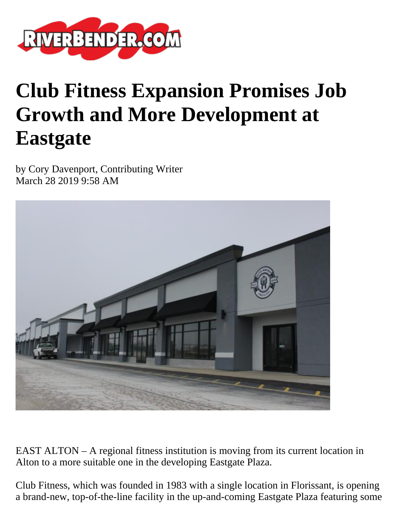

## **Club Fitness Expansion Promises Job Growth and More Development at Eastgate**

by Cory Davenport, Contributing Writer March 28 2019 9:58 AM



EAST ALTON – A regional fitness institution is moving from its current location in Alton to a more suitable one in the developing Eastgate Plaza.

Club Fitness, which was founded in 1983 with a single location in Florissant, is opening a brand-new, top-of-the-line facility in the up-and-coming Eastgate Plaza featuring some